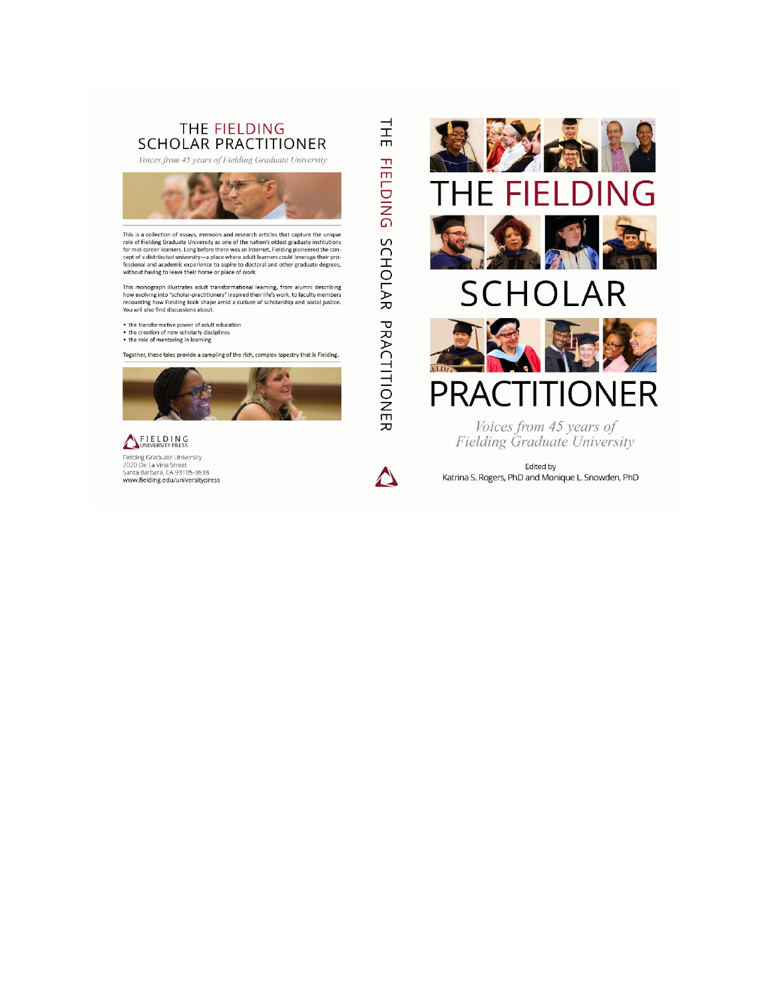## THE FIELDING **SCHOLAR PRACTITIONER**

Voices from 45 years of Fielding Graduate University



This is a collection of essays, memoirs and research articles that capture the unique<br>role of Fielding Graduate University as one of the nation's oldest graduate institutions<br>for mid-career learners. Long before there was without having to leave their home or place of work.

This monograph illustrates adult transformational learning, from alumni describing how evolving into "scholar-practitioners" inspired their life's work, to faculty members<br>recounting how Fielding took shape amid a culture of scholarship and social justice.<br>You will also find discussions about:

• the transformative power of adult education<br>• the creation of new scholarly disciplines<br>• the role of mentoring in learning

Together, these tales provide a sampling of the rich, complex tapestry that is Fielding.



## FIELDING

Fielding Graduate University<br>2020 De La Vina Street<br>Santa Barbara, CA 93105-3538<br>www.fielding.edu/universitypress



 $\bigwedge$ 



Voices from 45 years of Fielding Graduate University

 $111$ 

Edited by Katrina S. Rogers, PhD and Monique L. Snowden, PhD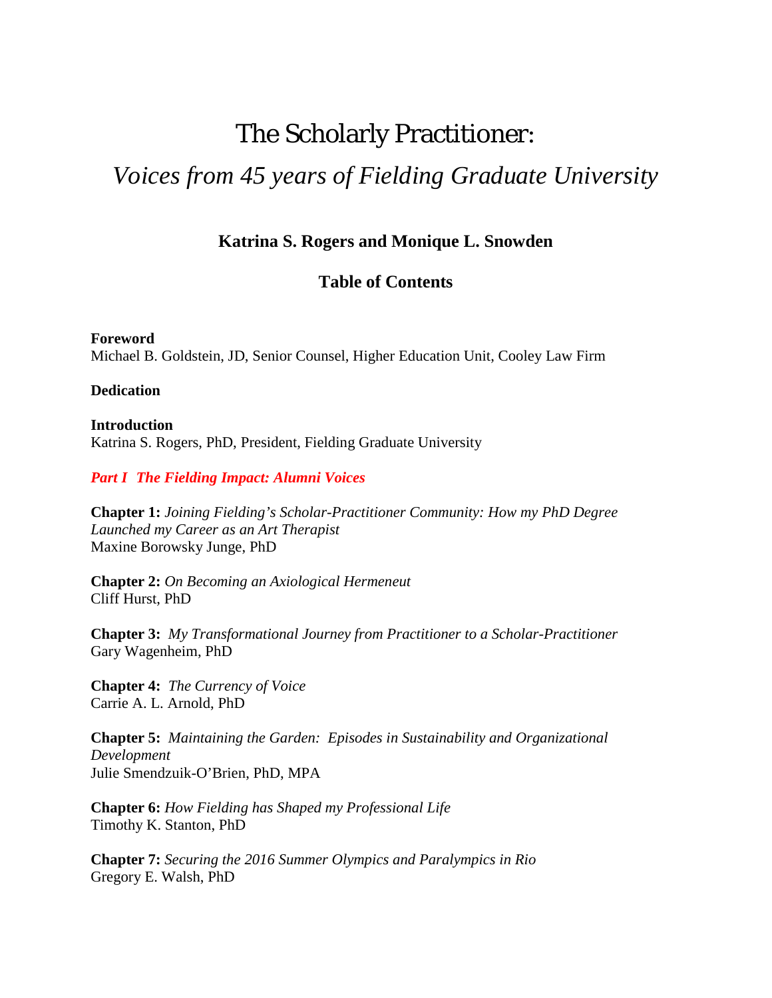# The Scholarly Practitioner:

# *Voices from 45 years of Fielding Graduate University*

## **Katrina S. Rogers and Monique L. Snowden**

## **Table of Contents**

**Foreword** Michael B. Goldstein, JD, Senior Counsel, Higher Education Unit, Cooley Law Firm

## **Dedication**

**Introduction** Katrina S. Rogers, PhD, President, Fielding Graduate University

## *Part I The Fielding Impact: Alumni Voices*

**Chapter 1:** *Joining Fielding's Scholar-Practitioner Community: How my PhD Degree Launched my Career as an Art Therapist* Maxine Borowsky Junge, PhD

**Chapter 2:** *On Becoming an Axiological Hermeneut* Cliff Hurst, PhD

**Chapter 3:** *My Transformational Journey from Practitioner to a Scholar-Practitioner* Gary Wagenheim, PhD

**Chapter 4:** *The Currency of Voice* Carrie A. L. Arnold, PhD

**Chapter 5:** *Maintaining the Garden: Episodes in Sustainability and Organizational Development* Julie Smendzuik-O'Brien, PhD, MPA

**Chapter 6:** *How Fielding has Shaped my Professional Life* Timothy K. Stanton, PhD

**Chapter 7:** *Securing the 2016 Summer Olympics and Paralympics in Rio* Gregory E. Walsh, PhD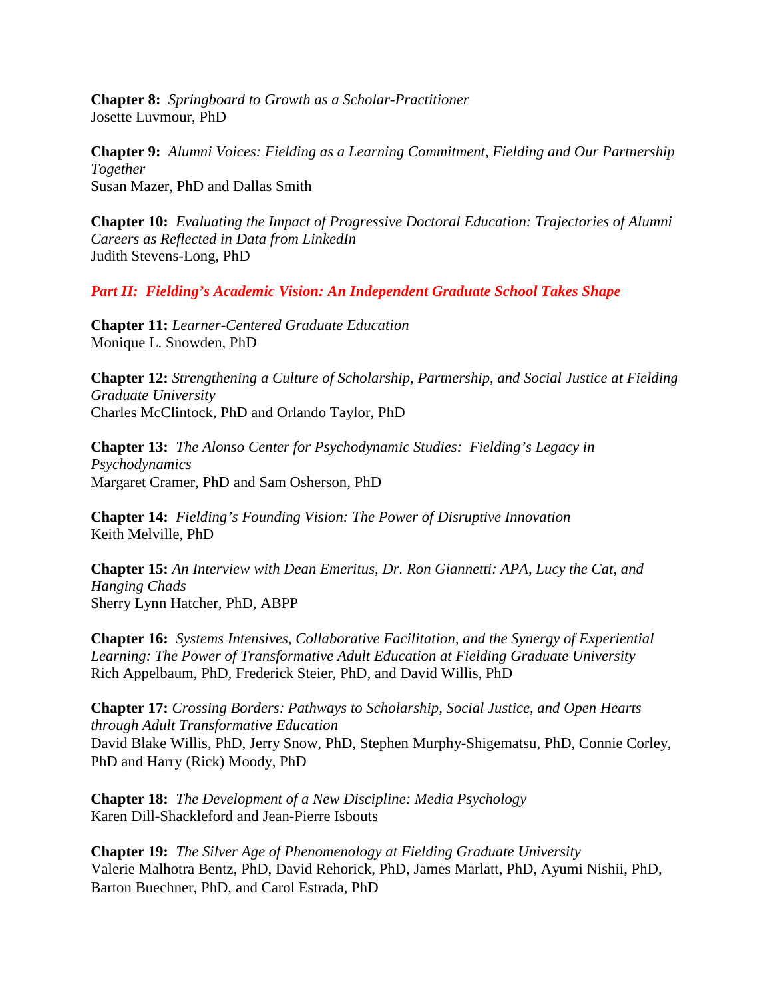**Chapter 8:** *Springboard to Growth as a Scholar-Practitioner* Josette Luvmour, PhD

**Chapter 9:** *Alumni Voices: Fielding as a Learning Commitment, Fielding and Our Partnership Together* Susan Mazer, PhD and Dallas Smith

**Chapter 10:** *Evaluating the Impact of Progressive Doctoral Education: Trajectories of Alumni Careers as Reflected in Data from LinkedIn* Judith Stevens-Long, PhD

*Part II: Fielding's Academic Vision: An Independent Graduate School Takes Shape*

**Chapter 11:** *Learner-Centered Graduate Education* Monique L. Snowden, PhD

**Chapter 12:** *Strengthening a Culture of Scholarship, Partnership, and Social Justice at Fielding Graduate University* Charles McClintock, PhD and Orlando Taylor, PhD

**Chapter 13:** *The Alonso Center for Psychodynamic Studies: Fielding's Legacy in Psychodynamics*  Margaret Cramer, PhD and Sam Osherson, PhD

**Chapter 14:** *Fielding's Founding Vision: The Power of Disruptive Innovation* Keith Melville, PhD

**Chapter 15:** *An Interview with Dean Emeritus, Dr. Ron Giannetti: APA, Lucy the Cat, and Hanging Chads* Sherry Lynn Hatcher, PhD, ABPP

**Chapter 16:** *Systems Intensives, Collaborative Facilitation, and the Synergy of Experiential Learning: The Power of Transformative Adult Education at Fielding Graduate University* Rich Appelbaum, PhD, Frederick Steier, PhD, and David Willis, PhD

**Chapter 17:** *Crossing Borders: Pathways to Scholarship, Social Justice, and Open Hearts through Adult Transformative Education* David Blake Willis, PhD, Jerry Snow, PhD, Stephen Murphy-Shigematsu, PhD, Connie Corley, PhD and Harry (Rick) Moody, PhD

**Chapter 18:** *The Development of a New Discipline: Media Psychology* Karen Dill-Shackleford and Jean-Pierre Isbouts

**Chapter 19:** *The Silver Age of Phenomenology at Fielding Graduate University* Valerie Malhotra Bentz, PhD, David Rehorick, PhD, James Marlatt, PhD, Ayumi Nishii, PhD, Barton Buechner, PhD, and Carol Estrada, PhD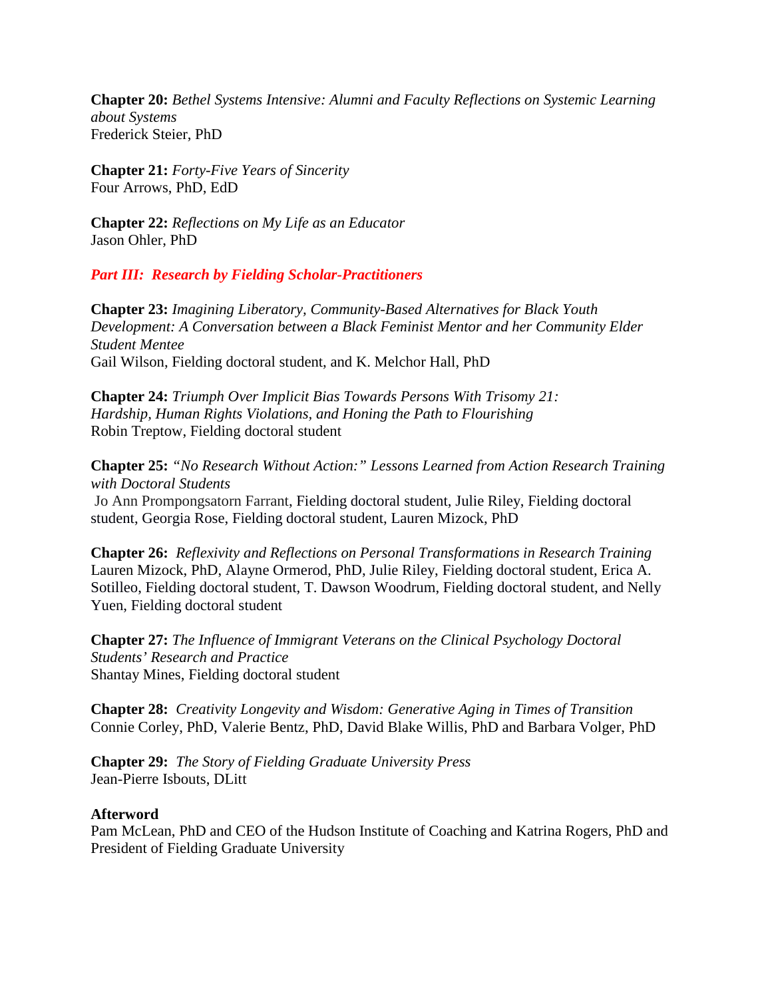**Chapter 20:** *Bethel Systems Intensive: Alumni and Faculty Reflections on Systemic Learning about Systems* Frederick Steier, PhD

**Chapter 21:** *Forty-Five Years of Sincerity* Four Arrows, PhD, EdD

**Chapter 22:** *Reflections on My Life as an Educator* Jason Ohler, PhD

*Part III: Research by Fielding Scholar-Practitioners*

**Chapter 23:** *Imagining Liberatory, Community-Based Alternatives for Black Youth Development: A Conversation between a Black Feminist Mentor and her Community Elder Student Mentee* Gail Wilson, Fielding doctoral student, and K. Melchor Hall, PhD

**Chapter 24:** *Triumph Over Implicit Bias Towards Persons With Trisomy 21: Hardship, Human Rights Violations, and Honing the Path to Flourishing* Robin Treptow, Fielding doctoral student

**Chapter 25:** *"No Research Without Action:" Lessons Learned from Action Research Training with Doctoral Students* Jo Ann Prompongsatorn Farrant, Fielding doctoral student, Julie Riley, Fielding doctoral student, Georgia Rose, Fielding doctoral student, Lauren Mizock, PhD

**Chapter 26:** *Reflexivity and Reflections on Personal Transformations in Research Training* Lauren Mizock, PhD, Alayne Ormerod, PhD, Julie Riley, Fielding doctoral student, Erica A. Sotilleo, Fielding doctoral student, T. Dawson Woodrum, Fielding doctoral student, and Nelly Yuen, Fielding doctoral student

**Chapter 27:** *The Influence of Immigrant Veterans on the Clinical Psychology Doctoral Students' Research and Practice* Shantay Mines, Fielding doctoral student

**Chapter 28:** *Creativity Longevity and Wisdom: Generative Aging in Times of Transition* Connie Corley, PhD, Valerie Bentz, PhD, David Blake Willis, PhD and Barbara Volger, PhD

**Chapter 29:** *The Story of Fielding Graduate University Press* Jean-Pierre Isbouts, DLitt

## **Afterword**

Pam McLean, PhD and CEO of the Hudson Institute of Coaching and Katrina Rogers, PhD and President of Fielding Graduate University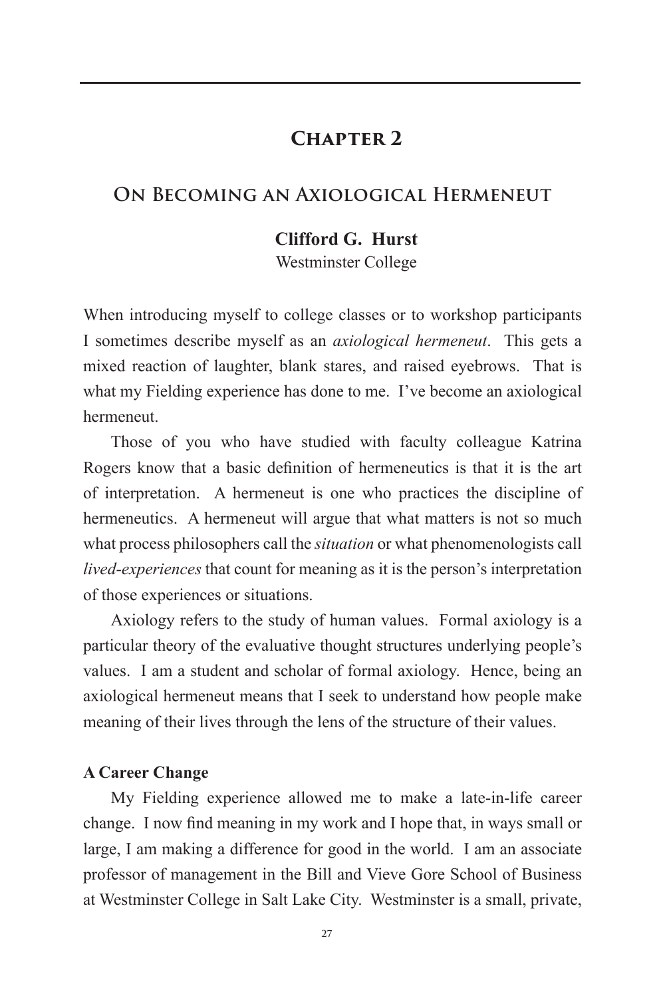## **Chapter 2**

## **On Becoming an Axiological Hermeneut**

## **Clifford G. Hurst**

Westminster College

When introducing myself to college classes or to workshop participants I sometimes describe myself as an *axiological hermeneut*. This gets a mixed reaction of laughter, blank stares, and raised eyebrows. That is what my Fielding experience has done to me. I've become an axiological hermeneut.

Those of you who have studied with faculty colleague Katrina Rogers know that a basic definition of hermeneutics is that it is the art of interpretation. A hermeneut is one who practices the discipline of hermeneutics. A hermeneut will argue that what matters is not so much what process philosophers call the *situation* or what phenomenologists call *lived-experiences* that count for meaning as it is the person's interpretation of those experiences or situations.

Axiology refers to the study of human values. Formal axiology is a particular theory of the evaluative thought structures underlying people's values. I am a student and scholar of formal axiology. Hence, being an axiological hermeneut means that I seek to understand how people make meaning of their lives through the lens of the structure of their values.

#### **A Career Change**

My Fielding experience allowed me to make a late-in-life career change. I now find meaning in my work and I hope that, in ways small or large, I am making a difference for good in the world. I am an associate professor of management in the Bill and Vieve Gore School of Business at Westminster College in Salt Lake City. Westminster is a small, private,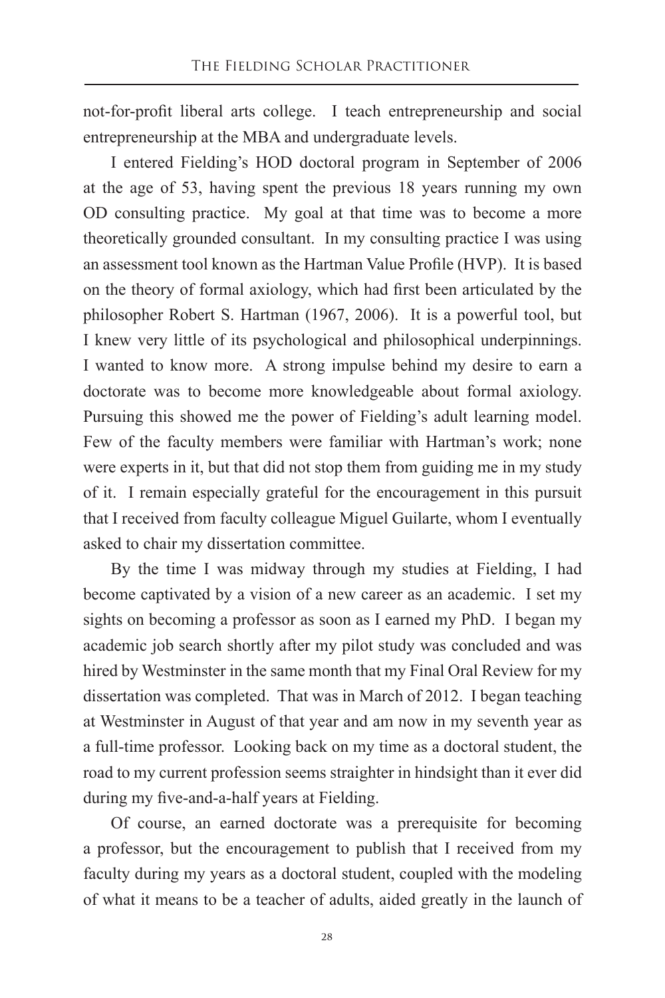not-for-profit liberal arts college. I teach entrepreneurship and social entrepreneurship at the MBA and undergraduate levels.

I entered Fielding's HOD doctoral program in September of 2006 at the age of 53, having spent the previous 18 years running my own OD consulting practice. My goal at that time was to become a more theoretically grounded consultant. In my consulting practice I was using an assessment tool known as the Hartman Value Profile (HVP). It is based on the theory of formal axiology, which had first been articulated by the philosopher Robert S. Hartman (1967, 2006). It is a powerful tool, but I knew very little of its psychological and philosophical underpinnings. I wanted to know more. A strong impulse behind my desire to earn a doctorate was to become more knowledgeable about formal axiology. Pursuing this showed me the power of Fielding's adult learning model. Few of the faculty members were familiar with Hartman's work; none were experts in it, but that did not stop them from guiding me in my study of it. I remain especially grateful for the encouragement in this pursuit that I received from faculty colleague Miguel Guilarte, whom I eventually asked to chair my dissertation committee.

By the time I was midway through my studies at Fielding, I had become captivated by a vision of a new career as an academic. I set my sights on becoming a professor as soon as I earned my PhD. I began my academic job search shortly after my pilot study was concluded and was hired by Westminster in the same month that my Final Oral Review for my dissertation was completed. That was in March of 2012. I began teaching at Westminster in August of that year and am now in my seventh year as a full-time professor. Looking back on my time as a doctoral student, the road to my current profession seems straighter in hindsight than it ever did during my five-and-a-half years at Fielding.

Of course, an earned doctorate was a prerequisite for becoming a professor, but the encouragement to publish that I received from my faculty during my years as a doctoral student, coupled with the modeling of what it means to be a teacher of adults, aided greatly in the launch of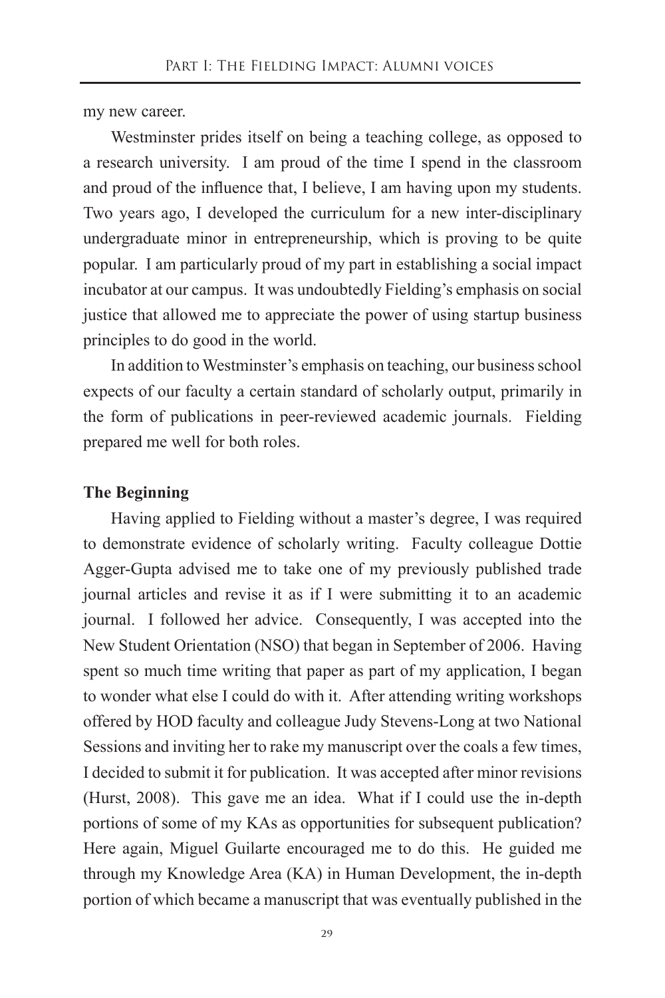my new career.

Westminster prides itself on being a teaching college, as opposed to a research university. I am proud of the time I spend in the classroom and proud of the influence that, I believe, I am having upon my students. Two years ago, I developed the curriculum for a new inter-disciplinary undergraduate minor in entrepreneurship, which is proving to be quite popular. I am particularly proud of my part in establishing a social impact incubator at our campus. It was undoubtedly Fielding's emphasis on social justice that allowed me to appreciate the power of using startup business principles to do good in the world.

In addition to Westminster's emphasis on teaching, our business school expects of our faculty a certain standard of scholarly output, primarily in the form of publications in peer-reviewed academic journals. Fielding prepared me well for both roles.

#### **The Beginning**

Having applied to Fielding without a master's degree, I was required to demonstrate evidence of scholarly writing. Faculty colleague Dottie Agger-Gupta advised me to take one of my previously published trade journal articles and revise it as if I were submitting it to an academic journal. I followed her advice. Consequently, I was accepted into the New Student Orientation (NSO) that began in September of 2006. Having spent so much time writing that paper as part of my application, I began to wonder what else I could do with it. After attending writing workshops offered by HOD faculty and colleague Judy Stevens-Long at two National Sessions and inviting her to rake my manuscript over the coals a few times, I decided to submit it for publication. It was accepted after minor revisions (Hurst, 2008). This gave me an idea. What if I could use the in-depth portions of some of my KAs as opportunities for subsequent publication? Here again, Miguel Guilarte encouraged me to do this. He guided me through my Knowledge Area (KA) in Human Development, the in-depth portion of which became a manuscript that was eventually published in the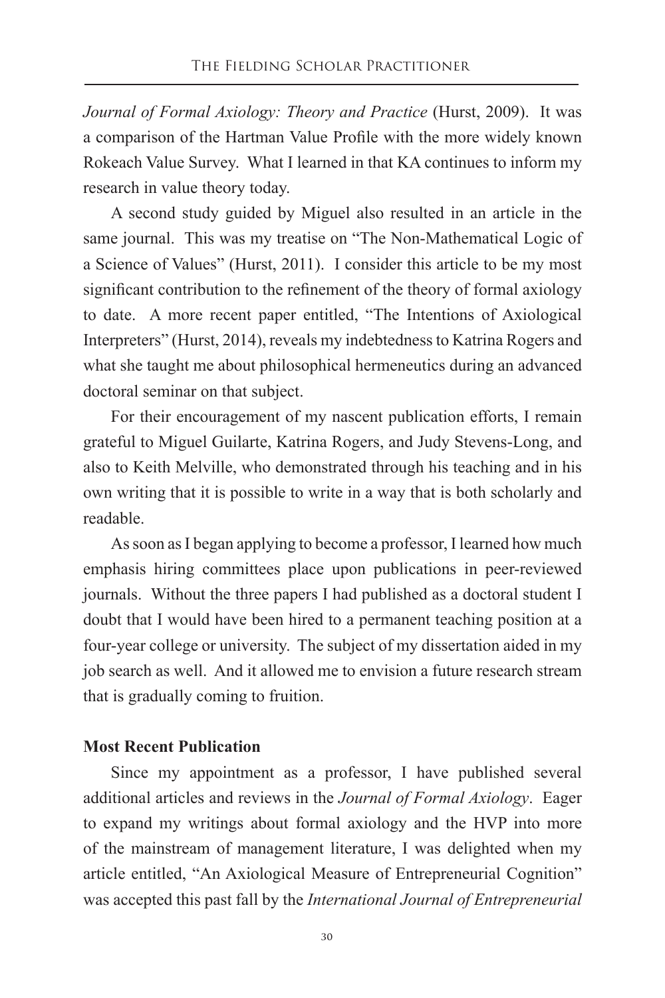*Journal of Formal Axiology: Theory and Practice* (Hurst, 2009). It was a comparison of the Hartman Value Profile with the more widely known Rokeach Value Survey. What I learned in that KA continues to inform my research in value theory today.

A second study guided by Miguel also resulted in an article in the same journal. This was my treatise on "The Non-Mathematical Logic of a Science of Values" (Hurst, 2011). I consider this article to be my most significant contribution to the refinement of the theory of formal axiology to date. A more recent paper entitled, "The Intentions of Axiological Interpreters" (Hurst, 2014), reveals my indebtedness to Katrina Rogers and what she taught me about philosophical hermeneutics during an advanced doctoral seminar on that subject.

For their encouragement of my nascent publication efforts, I remain grateful to Miguel Guilarte, Katrina Rogers, and Judy Stevens-Long, and also to Keith Melville, who demonstrated through his teaching and in his own writing that it is possible to write in a way that is both scholarly and readable.

As soon as I began applying to become a professor, I learned how much emphasis hiring committees place upon publications in peer-reviewed journals. Without the three papers I had published as a doctoral student I doubt that I would have been hired to a permanent teaching position at a four-year college or university. The subject of my dissertation aided in my job search as well. And it allowed me to envision a future research stream that is gradually coming to fruition.

#### **Most Recent Publication**

Since my appointment as a professor, I have published several additional articles and reviews in the *Journal of Formal Axiology*. Eager to expand my writings about formal axiology and the HVP into more of the mainstream of management literature, I was delighted when my article entitled, "An Axiological Measure of Entrepreneurial Cognition" was accepted this past fall by the *International Journal of Entrepreneurial*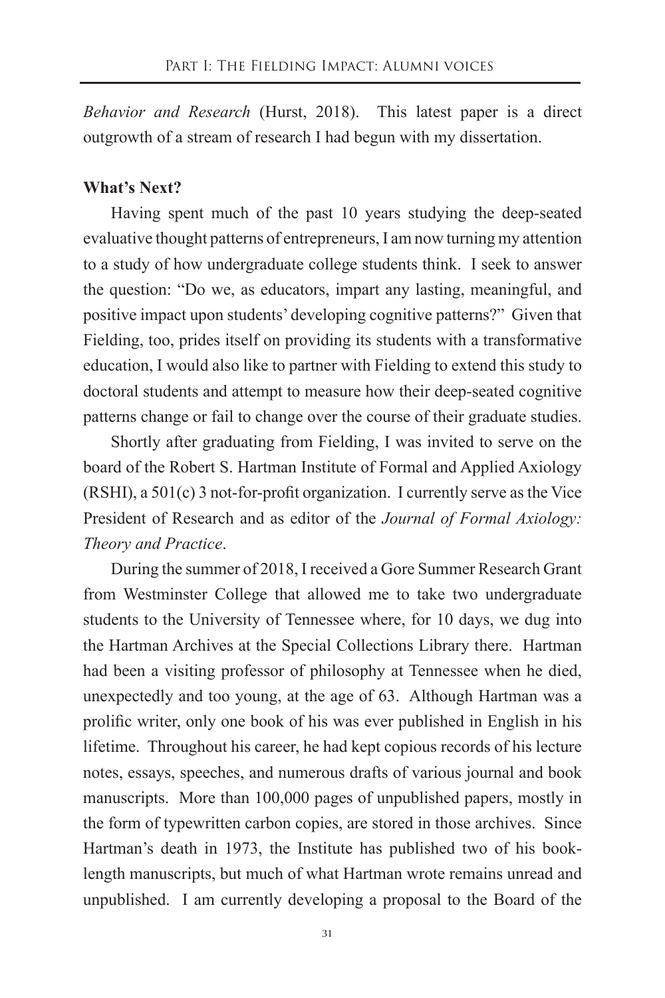*Behavior and Research* (Hurst, 2018). This latest paper is a direct outgrowth of a stream of research I had begun with my dissertation.

## **What's Next?**

Having spent much of the past 10 years studying the deep-seated evaluative thought patterns of entrepreneurs, I am now turning my attention to a study of how undergraduate college students think. I seek to answer the question: "Do we, as educators, impart any lasting, meaningful, and positive impact upon students' developing cognitive patterns?" Given that Fielding, too, prides itself on providing its students with a transformative education, I would also like to partner with Fielding to extend this study to doctoral students and attempt to measure how their deep-seated cognitive patterns change or fail to change over the course of their graduate studies.

Shortly after graduating from Fielding, I was invited to serve on the board of the Robert S. Hartman Institute of Formal and Applied Axiology (RSHI), a 501(c) 3 not-for-profit organization. I currently serve as the Vice President of Research and as editor of the *Journal of Formal Axiology: Theory and Practice*.

During the summer of 2018, I received a Gore Summer Research Grant from Westminster College that allowed me to take two undergraduate students to the University of Tennessee where, for 10 days, we dug into the Hartman Archives at the Special Collections Library there. Hartman had been a visiting professor of philosophy at Tennessee when he died, unexpectedly and too young, at the age of 63. Although Hartman was a prolific writer, only one book of his was ever published in English in his lifetime. Throughout his career, he had kept copious records of his lecture notes, essays, speeches, and numerous drafts of various journal and book manuscripts. More than 100,000 pages of unpublished papers, mostly in the form of typewritten carbon copies, are stored in those archives. Since Hartman's death in 1973, the Institute has published two of his booklength manuscripts, but much of what Hartman wrote remains unread and unpublished. I am currently developing a proposal to the Board of the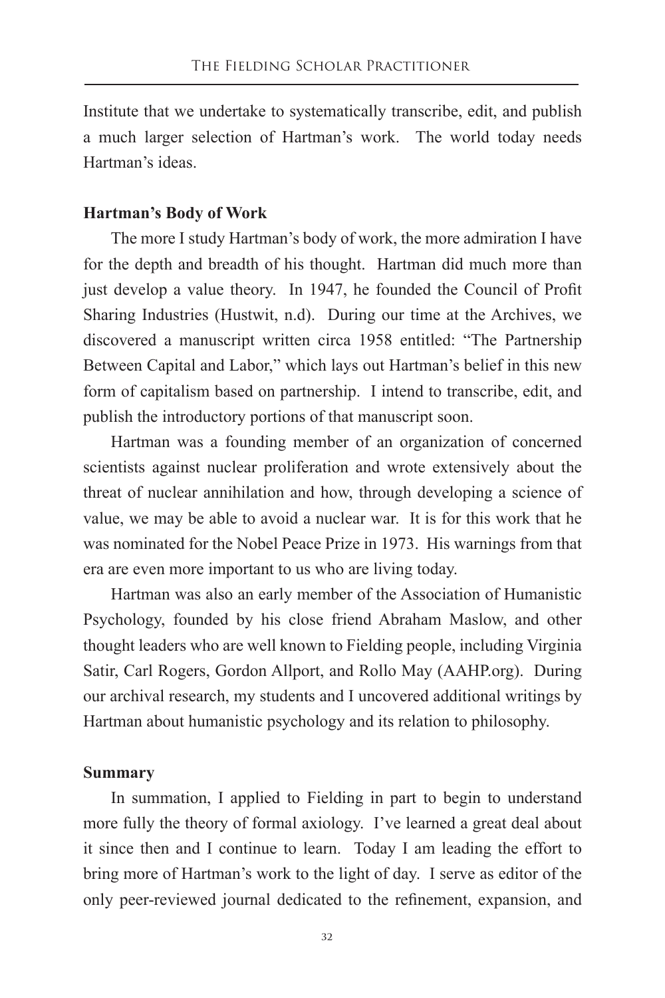Institute that we undertake to systematically transcribe, edit, and publish a much larger selection of Hartman's work. The world today needs Hartman's ideas.

#### **Hartman's Body of Work**

The more I study Hartman's body of work, the more admiration I have for the depth and breadth of his thought. Hartman did much more than just develop a value theory. In 1947, he founded the Council of Profit Sharing Industries (Hustwit, n.d). During our time at the Archives, we discovered a manuscript written circa 1958 entitled: "The Partnership Between Capital and Labor," which lays out Hartman's belief in this new form of capitalism based on partnership. I intend to transcribe, edit, and publish the introductory portions of that manuscript soon.

Hartman was a founding member of an organization of concerned scientists against nuclear proliferation and wrote extensively about the threat of nuclear annihilation and how, through developing a science of value, we may be able to avoid a nuclear war. It is for this work that he was nominated for the Nobel Peace Prize in 1973. His warnings from that era are even more important to us who are living today.

Hartman was also an early member of the Association of Humanistic Psychology, founded by his close friend Abraham Maslow, and other thought leaders who are well known to Fielding people, including Virginia Satir, Carl Rogers, Gordon Allport, and Rollo May (AAHP.org). During our archival research, my students and I uncovered additional writings by Hartman about humanistic psychology and its relation to philosophy.

#### **Summary**

In summation, I applied to Fielding in part to begin to understand more fully the theory of formal axiology. I've learned a great deal about it since then and I continue to learn. Today I am leading the effort to bring more of Hartman's work to the light of day. I serve as editor of the only peer-reviewed journal dedicated to the refinement, expansion, and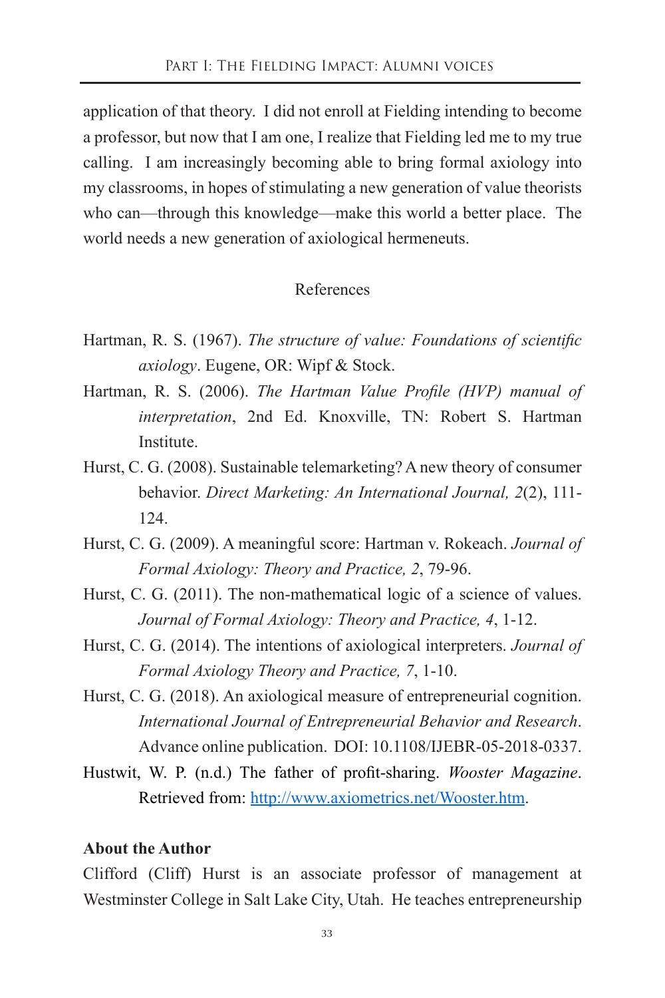application of that theory. I did not enroll at Fielding intending to become a professor, but now that I am one, I realize that Fielding led me to my true calling. I am increasingly becoming able to bring formal axiology into my classrooms, in hopes of stimulating a new generation of value theorists who can—through this knowledge—make this world a better place. The world needs a new generation of axiological hermeneuts.

#### References

- Hartman, R. S. (1967). *The structure of value: Foundations of scientific axiology*. Eugene, OR: Wipf & Stock.
- Hartman, R. S. (2006). *The Hartman Value Profile (HVP) manual of interpretation*, 2nd Ed. Knoxville, TN: Robert S. Hartman Institute.
- Hurst, C. G. (2008). Sustainable telemarketing? A new theory of consumer behavior. *Direct Marketing: An International Journal, 2*(2), 111- 124.
- Hurst, C. G. (2009). A meaningful score: Hartman v. Rokeach. *Journal of Formal Axiology: Theory and Practice, 2*, 79-96.
- Hurst, C. G. (2011). The non-mathematical logic of a science of values. *Journal of Formal Axiology: Theory and Practice, 4*, 1-12.
- Hurst, C. G. (2014). The intentions of axiological interpreters. *Journal of Formal Axiology Theory and Practice, 7*, 1-10.
- Hurst, C. G. (2018). An axiological measure of entrepreneurial cognition. *International Journal of Entrepreneurial Behavior and Research*. Advance online publication. DOI: 10.1108/IJEBR-05-2018-0337.
- Hustwit, W. P. (n.d.) The father of profit-sharing. *Wooster Magazine*. Retrieved from: http://www.axiometrics.net/Wooster.htm.

### **About the Author**

Clifford (Cliff) Hurst is an associate professor of management at Westminster College in Salt Lake City, Utah. He teaches entrepreneurship